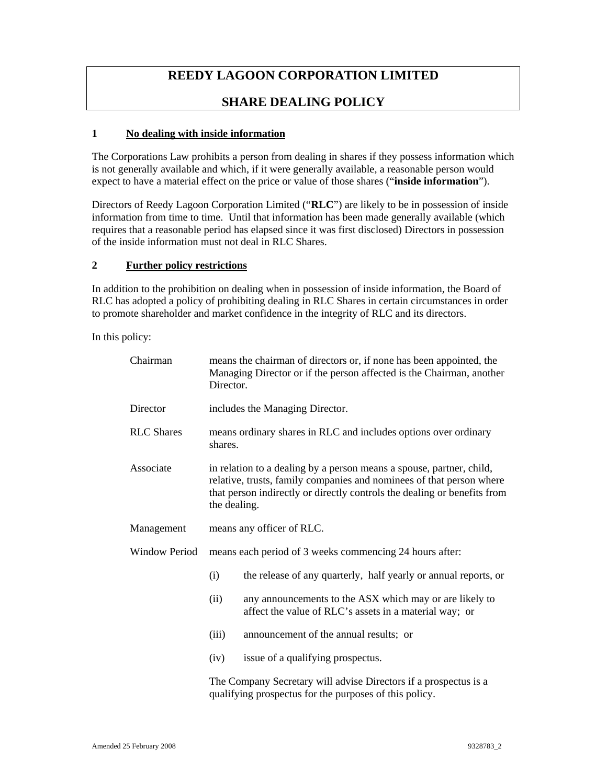# **REEDY LAGOON CORPORATION LIMITED**

## **SHARE DEALING POLICY**

## **1 No dealing with inside information**

The Corporations Law prohibits a person from dealing in shares if they possess information which is not generally available and which, if it were generally available, a reasonable person would expect to have a material effect on the price or value of those shares ("**inside information**").

Directors of Reedy Lagoon Corporation Limited ("**RLC**") are likely to be in possession of inside information from time to time. Until that information has been made generally available (which requires that a reasonable period has elapsed since it was first disclosed) Directors in possession of the inside information must not deal in RLC Shares.

## **2 Further policy restrictions**

In addition to the prohibition on dealing when in possession of inside information, the Board of RLC has adopted a policy of prohibiting dealing in RLC Shares in certain circumstances in order to promote shareholder and market confidence in the integrity of RLC and its directors.

In this policy:

| Chairman             | means the chairman of directors or, if none has been appointed, the<br>Managing Director or if the person affected is the Chairman, another<br>Director.                                                                                 |                                                                                                                   |
|----------------------|------------------------------------------------------------------------------------------------------------------------------------------------------------------------------------------------------------------------------------------|-------------------------------------------------------------------------------------------------------------------|
| Director             | includes the Managing Director.                                                                                                                                                                                                          |                                                                                                                   |
| <b>RLC</b> Shares    | means ordinary shares in RLC and includes options over ordinary<br>shares.                                                                                                                                                               |                                                                                                                   |
| Associate            | in relation to a dealing by a person means a spouse, partner, child,<br>relative, trusts, family companies and nominees of that person where<br>that person indirectly or directly controls the dealing or benefits from<br>the dealing. |                                                                                                                   |
| Management           | means any officer of RLC.                                                                                                                                                                                                                |                                                                                                                   |
| <b>Window Period</b> | means each period of 3 weeks commencing 24 hours after:                                                                                                                                                                                  |                                                                                                                   |
|                      | (i)                                                                                                                                                                                                                                      | the release of any quarterly, half yearly or annual reports, or                                                   |
|                      | (ii)                                                                                                                                                                                                                                     | any announcements to the ASX which may or are likely to<br>affect the value of RLC's assets in a material way; or |
|                      | (iii)                                                                                                                                                                                                                                    | announcement of the annual results; or                                                                            |
|                      | (iv)                                                                                                                                                                                                                                     | issue of a qualifying prospectus.                                                                                 |
|                      | The Company Secretary will advise Directors if a prospectus is a<br>qualifying prospectus for the purposes of this policy.                                                                                                               |                                                                                                                   |